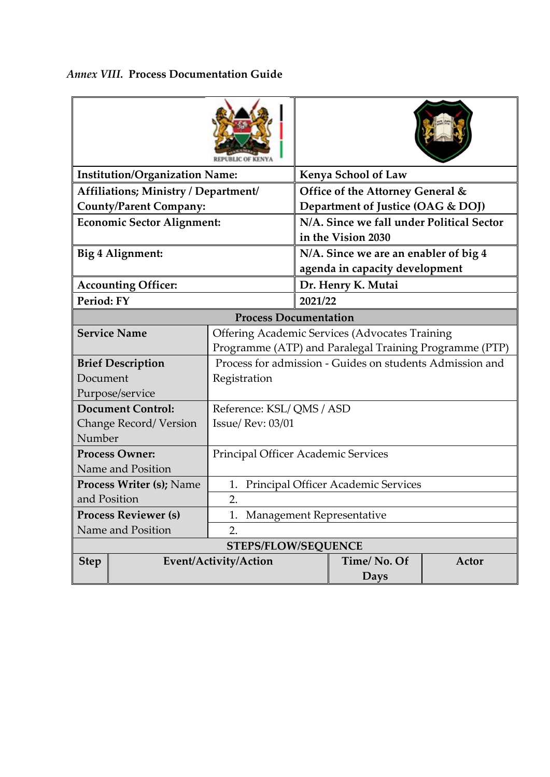| <b>Institution/Organization Name:</b> |                            |                                                          |                                                                 | <b>Kenya School of Law</b> |       |  |  |  |
|---------------------------------------|----------------------------|----------------------------------------------------------|-----------------------------------------------------------------|----------------------------|-------|--|--|--|
| Affiliations; Ministry / Department/  |                            |                                                          | Office of the Attorney General &                                |                            |       |  |  |  |
| <b>County/Parent Company:</b>         |                            |                                                          | Department of Justice (OAG & DOJ)                               |                            |       |  |  |  |
| <b>Economic Sector Alignment:</b>     |                            |                                                          | N/A. Since we fall under Political Sector<br>in the Vision 2030 |                            |       |  |  |  |
|                                       | Big 4 Alignment:           |                                                          | N/A. Since we are an enabler of big 4                           |                            |       |  |  |  |
|                                       |                            |                                                          | agenda in capacity development                                  |                            |       |  |  |  |
|                                       | <b>Accounting Officer:</b> |                                                          | Dr. Henry K. Mutai                                              |                            |       |  |  |  |
| Period: FY                            |                            |                                                          | 2021/22                                                         |                            |       |  |  |  |
| <b>Process Documentation</b>          |                            |                                                          |                                                                 |                            |       |  |  |  |
|                                       | <b>Service Name</b>        | <b>Offering Academic Services (Advocates Training</b>    |                                                                 |                            |       |  |  |  |
|                                       |                            | Programme (ATP) and Paralegal Training Programme (PTP)   |                                                                 |                            |       |  |  |  |
|                                       | <b>Brief Description</b>   | Process for admission - Guides on students Admission and |                                                                 |                            |       |  |  |  |
| Document                              |                            | Registration                                             |                                                                 |                            |       |  |  |  |
| Purpose/service                       |                            |                                                          |                                                                 |                            |       |  |  |  |
| <b>Document Control:</b>              |                            | Reference: KSL/QMS/ASD                                   |                                                                 |                            |       |  |  |  |
| Change Record/Version                 |                            | <b>Issue/ Rev: 03/01</b>                                 |                                                                 |                            |       |  |  |  |
| Number                                |                            |                                                          |                                                                 |                            |       |  |  |  |
| <b>Process Owner:</b>                 |                            | Principal Officer Academic Services                      |                                                                 |                            |       |  |  |  |
| Name and Position                     |                            |                                                          |                                                                 |                            |       |  |  |  |
| <b>Process Writer (s); Name</b>       |                            | Principal Officer Academic Services<br>1.                |                                                                 |                            |       |  |  |  |
| and Position                          |                            | 2.                                                       |                                                                 |                            |       |  |  |  |
| <b>Process Reviewer (s)</b>           |                            | Management Representative                                |                                                                 |                            |       |  |  |  |
| Name and Position                     |                            | 2.                                                       |                                                                 |                            |       |  |  |  |
| <b>STEPS/FLOW/SEQUENCE</b>            |                            |                                                          |                                                                 |                            |       |  |  |  |
| <b>Step</b>                           | Event/Activity/Action      |                                                          |                                                                 | Time/No. Of                | Actor |  |  |  |
|                                       |                            |                                                          |                                                                 | <b>Days</b>                |       |  |  |  |

## *Annex VIII.* **Process Documentation Guide**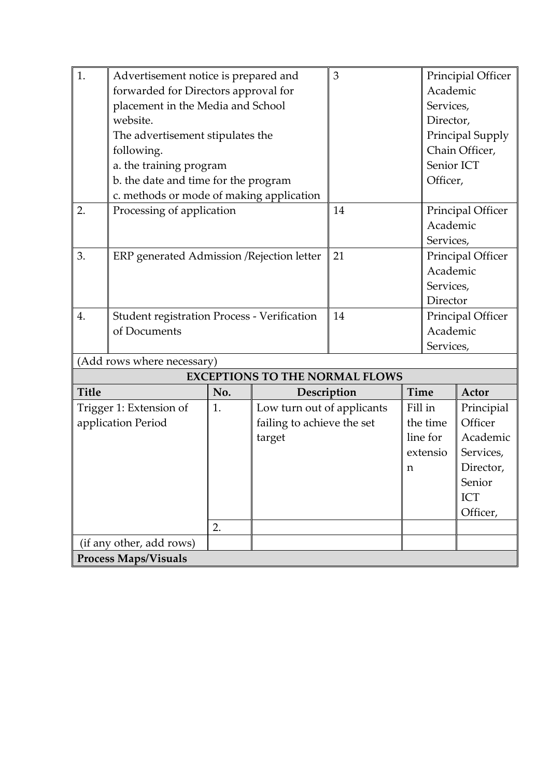| 1.                          | Advertisement notice is prepared and               | 3   |                                       | Principial Officer |                   |                   |                   |  |  |  |  |
|-----------------------------|----------------------------------------------------|-----|---------------------------------------|--------------------|-------------------|-------------------|-------------------|--|--|--|--|
|                             | forwarded for Directors approval for               |     |                                       | Academic           |                   |                   |                   |  |  |  |  |
|                             | placement in the Media and School                  |     |                                       |                    | Services,         |                   |                   |  |  |  |  |
|                             | website.                                           |     |                                       | Director,          |                   |                   |                   |  |  |  |  |
|                             | The advertisement stipulates the                   |     |                                       |                    |                   | Principal Supply  |                   |  |  |  |  |
|                             | following.                                         |     |                                       |                    |                   | Chain Officer,    |                   |  |  |  |  |
|                             | a. the training program                            |     |                                       |                    | Senior ICT        |                   |                   |  |  |  |  |
|                             | b. the date and time for the program               |     |                                       |                    | Officer,          |                   |                   |  |  |  |  |
|                             | c. methods or mode of making application           |     |                                       |                    |                   |                   |                   |  |  |  |  |
| 2.                          | Processing of application                          | 14  |                                       |                    | Principal Officer |                   |                   |  |  |  |  |
|                             |                                                    |     |                                       |                    |                   | Academic          |                   |  |  |  |  |
|                             |                                                    |     |                                       |                    |                   | Services,         |                   |  |  |  |  |
| 3.                          | ERP generated Admission / Rejection letter         |     |                                       | 21                 |                   | Principal Officer |                   |  |  |  |  |
|                             |                                                    |     |                                       |                    |                   | Academic          |                   |  |  |  |  |
|                             |                                                    |     |                                       |                    |                   | Services,         |                   |  |  |  |  |
|                             |                                                    |     |                                       |                    |                   | Director          |                   |  |  |  |  |
| 4.                          | <b>Student registration Process - Verification</b> |     |                                       | 14                 |                   |                   | Principal Officer |  |  |  |  |
|                             | of Documents                                       |     |                                       |                    |                   | Academic          |                   |  |  |  |  |
|                             |                                                    |     |                                       | Services,          |                   |                   |                   |  |  |  |  |
| (Add rows where necessary)  |                                                    |     |                                       |                    |                   |                   |                   |  |  |  |  |
|                             |                                                    |     | <b>EXCEPTIONS TO THE NORMAL FLOWS</b> |                    |                   |                   |                   |  |  |  |  |
| <b>Title</b>                |                                                    | No. | Description                           |                    | Time              |                   | Actor             |  |  |  |  |
| Trigger 1: Extension of     |                                                    | 1.  | Low turn out of applicants            |                    |                   | Fill in           | Principial        |  |  |  |  |
| application Period          |                                                    |     | failing to achieve the set            |                    |                   | the time          | Officer           |  |  |  |  |
|                             |                                                    |     | target                                |                    |                   | line for          | Academic          |  |  |  |  |
|                             |                                                    |     |                                       |                    |                   | extensio          | Services,         |  |  |  |  |
|                             |                                                    |     |                                       |                    | n                 |                   | Director,         |  |  |  |  |
|                             |                                                    |     |                                       |                    |                   |                   | Senior            |  |  |  |  |
|                             |                                                    |     |                                       |                    |                   |                   | ICT               |  |  |  |  |
|                             |                                                    |     |                                       |                    |                   |                   | Officer,          |  |  |  |  |
|                             |                                                    | 2.  |                                       |                    |                   |                   |                   |  |  |  |  |
| (if any other, add rows)    |                                                    |     |                                       |                    |                   |                   |                   |  |  |  |  |
| <b>Process Maps/Visuals</b> |                                                    |     |                                       |                    |                   |                   |                   |  |  |  |  |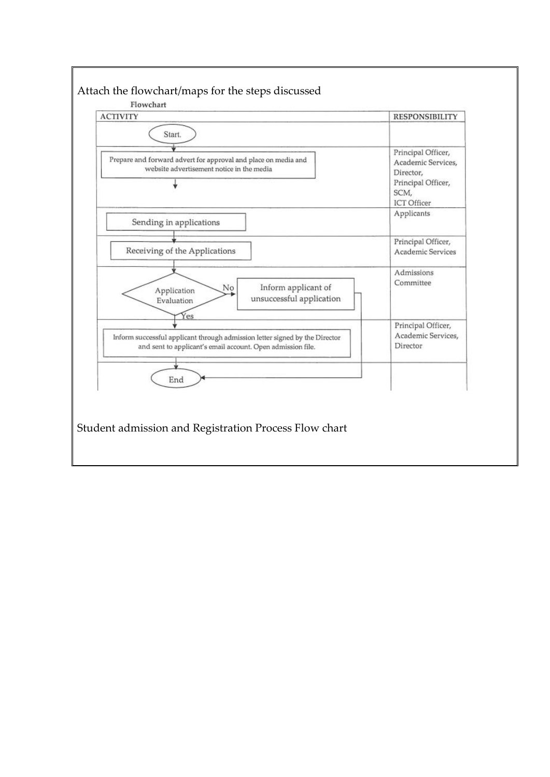